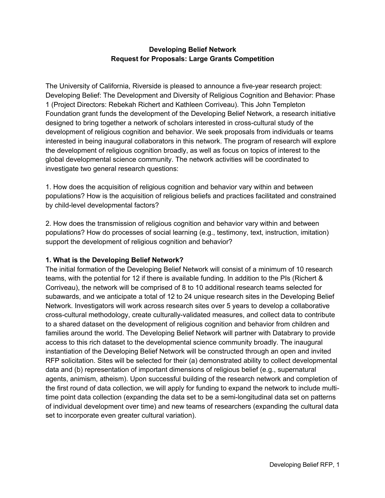## **Developing Belief Network Request for Proposals: Large Grants Competition**

The University of California, Riverside is pleased to announce a five-year research project: Developing Belief: The Development and Diversity of Religious Cognition and Behavior: Phase 1 (Project Directors: Rebekah Richert and Kathleen Corriveau). This John Templeton Foundation grant funds the development of the Developing Belief Network, a research initiative designed to bring together a network of scholars interested in cross-cultural study of the development of religious cognition and behavior. We seek proposals from individuals or teams interested in being inaugural collaborators in this network. The program of research will explore the development of religious cognition broadly, as well as focus on topics of interest to the global developmental science community. The network activities will be coordinated to investigate two general research questions:

1. How does the acquisition of religious cognition and behavior vary within and between populations? How is the acquisition of religious beliefs and practices facilitated and constrained by child-level developmental factors?

2. How does the transmission of religious cognition and behavior vary within and between populations? How do processes of social learning (e.g., testimony, text, instruction, imitation) support the development of religious cognition and behavior?

## **1. What is the Developing Belief Network?**

The initial formation of the Developing Belief Network will consist of a minimum of 10 research teams, with the potential for 12 if there is available funding. In addition to the PIs (Richert & Corriveau), the network will be comprised of 8 to 10 additional research teams selected for subawards, and we anticipate a total of 12 to 24 unique research sites in the Developing Belief Network. Investigators will work across research sites over 5 years to develop a collaborative cross-cultural methodology, create culturally-validated measures, and collect data to contribute to a shared dataset on the development of religious cognition and behavior from children and families around the world. The Developing Belief Network will partner with Databrary to provide access to this rich dataset to the developmental science community broadly. The inaugural instantiation of the Developing Belief Network will be constructed through an open and invited RFP solicitation. Sites will be selected for their (a) demonstrated ability to collect developmental data and (b) representation of important dimensions of religious belief (e.g., supernatural agents, animism, atheism). Upon successful building of the research network and completion of the first round of data collection, we will apply for funding to expand the network to include multitime point data collection (expanding the data set to be a semi-longitudinal data set on patterns of individual development over time) and new teams of researchers (expanding the cultural data set to incorporate even greater cultural variation).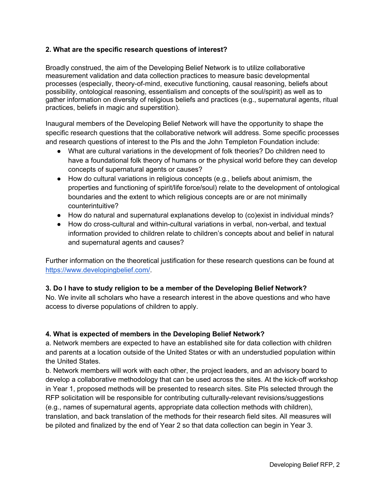#### **2. What are the specific research questions of interest?**

Broadly construed, the aim of the Developing Belief Network is to utilize collaborative measurement validation and data collection practices to measure basic developmental processes (especially, theory-of-mind, executive functioning, causal reasoning, beliefs about possibility, ontological reasoning, essentialism and concepts of the soul/spirit) as well as to gather information on diversity of religious beliefs and practices (e.g., supernatural agents, ritual practices, beliefs in magic and superstition).

Inaugural members of the Developing Belief Network will have the opportunity to shape the specific research questions that the collaborative network will address. Some specific processes and research questions of interest to the PIs and the John Templeton Foundation include:

- What are cultural variations in the development of folk theories? Do children need to have a foundational folk theory of humans or the physical world before they can develop concepts of supernatural agents or causes?
- How do cultural variations in religious concepts (e.g., beliefs about animism, the properties and functioning of spirit/life force/soul) relate to the development of ontological boundaries and the extent to which religious concepts are or are not minimally counterintuitive?
- How do natural and supernatural explanations develop to (co)exist in individual minds?
- How do cross-cultural and within-cultural variations in verbal, non-verbal, and textual information provided to children relate to children's concepts about and belief in natural and supernatural agents and causes?

Further information on the theoretical justification for these research questions can be found at https://www.developingbelief.com/.

## **3. Do I have to study religion to be a member of the Developing Belief Network?**

No. We invite all scholars who have a research interest in the above questions and who have access to diverse populations of children to apply.

## **4. What is expected of members in the Developing Belief Network?**

a. Network members are expected to have an established site for data collection with children and parents at a location outside of the United States or with an understudied population within the United States.

b. Network members will work with each other, the project leaders, and an advisory board to develop a collaborative methodology that can be used across the sites. At the kick-off workshop in Year 1, proposed methods will be presented to research sites. Site PIs selected through the RFP solicitation will be responsible for contributing culturally-relevant revisions/suggestions (e.g., names of supernatural agents, appropriate data collection methods with children), translation, and back translation of the methods for their research field sites. All measures will be piloted and finalized by the end of Year 2 so that data collection can begin in Year 3.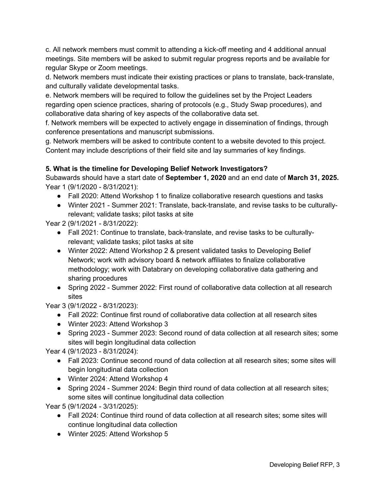c. All network members must commit to attending a kick-off meeting and 4 additional annual meetings. Site members will be asked to submit regular progress reports and be available for regular Skype or Zoom meetings.

d. Network members must indicate their existing practices or plans to translate, back-translate, and culturally validate developmental tasks.

e. Network members will be required to follow the guidelines set by the Project Leaders regarding open science practices, sharing of protocols (e.g., Study Swap procedures), and collaborative data sharing of key aspects of the collaborative data set.

f. Network members will be expected to actively engage in dissemination of findings, through conference presentations and manuscript submissions.

g. Network members will be asked to contribute content to a website devoted to this project. Content may include descriptions of their field site and lay summaries of key findings.

# **5. What is the timeline for Developing Belief Network Investigators?**

Subawards should have a start date of **September 1, 2020** and an end date of **March 31, 2025.** Year 1 (9/1/2020 - 8/31/2021):

- Fall 2020: Attend Workshop 1 to finalize collaborative research questions and tasks
- Winter 2021 Summer 2021: Translate, back-translate, and revise tasks to be culturallyrelevant; validate tasks; pilot tasks at site

Year 2 (9/1/2021 - 8/31/2022):

- Fall 2021: Continue to translate, back-translate, and revise tasks to be culturallyrelevant; validate tasks; pilot tasks at site
- Winter 2022: Attend Workshop 2 & present validated tasks to Developing Belief Network; work with advisory board & network affiliates to finalize collaborative methodology; work with Databrary on developing collaborative data gathering and sharing procedures
- Spring 2022 Summer 2022: First round of collaborative data collection at all research sites

Year 3 (9/1/2022 - 8/31/2023):

- Fall 2022: Continue first round of collaborative data collection at all research sites
- Winter 2023: Attend Workshop 3
- Spring 2023 Summer 2023: Second round of data collection at all research sites; some sites will begin longitudinal data collection

Year 4 (9/1/2023 - 8/31/2024):

- Fall 2023: Continue second round of data collection at all research sites; some sites will begin longitudinal data collection
- Winter 2024: Attend Workshop 4
- Spring 2024 Summer 2024: Begin third round of data collection at all research sites; some sites will continue longitudinal data collection

Year 5 (9/1/2024 - 3/31/2025):

- Fall 2024: Continue third round of data collection at all research sites; some sites will continue longitudinal data collection
- Winter 2025: Attend Workshop 5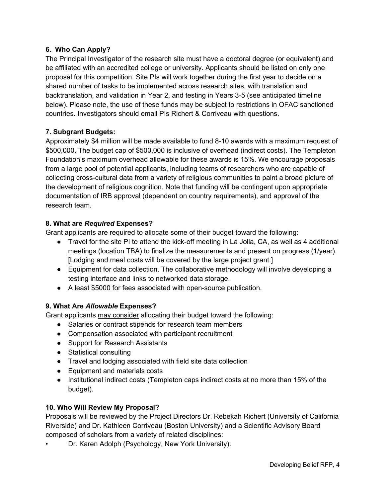### **6. Who Can Apply?**

The Principal Investigator of the research site must have a doctoral degree (or equivalent) and be affiliated with an accredited college or university. Applicants should be listed on only one proposal for this competition. Site PIs will work together during the first year to decide on a shared number of tasks to be implemented across research sites, with translation and backtranslation, and validation in Year 2, and testing in Years 3-5 (see anticipated timeline below). Please note, the use of these funds may be subject to restrictions in OFAC sanctioned countries. Investigators should email PIs Richert & Corriveau with questions.

#### **7. Subgrant Budgets:**

Approximately \$4 million will be made available to fund 8-10 awards with a maximum request of \$500,000. The budget cap of \$500,000 is inclusive of overhead (indirect costs). The Templeton Foundation's maximum overhead allowable for these awards is 15%. We encourage proposals from a large pool of potential applicants, including teams of researchers who are capable of collecting cross-cultural data from a variety of religious communities to paint a broad picture of the development of religious cognition. Note that funding will be contingent upon appropriate documentation of IRB approval (dependent on country requirements), and approval of the research team.

#### **8. What are** *Required* **Expenses?**

Grant applicants are required to allocate some of their budget toward the following:

- Travel for the site PI to attend the kick-off meeting in La Jolla, CA, as well as 4 additional meetings (location TBA) to finalize the measurements and present on progress (1/year). [Lodging and meal costs will be covered by the large project grant.]
- Equipment for data collection. The collaborative methodology will involve developing a testing interface and links to networked data storage.
- A least \$5000 for fees associated with open-source publication.

## **9. What Are** *Allowable* **Expenses?**

Grant applicants may consider allocating their budget toward the following:

- Salaries or contract stipends for research team members
- Compensation associated with participant recruitment
- Support for Research Assistants
- Statistical consulting
- Travel and lodging associated with field site data collection
- Equipment and materials costs
- Institutional indirect costs (Templeton caps indirect costs at no more than 15% of the budget).

#### **10. Who Will Review My Proposal?**

Proposals will be reviewed by the Project Directors Dr. Rebekah Richert (University of California Riverside) and Dr. Kathleen Corriveau (Boston University) and a Scientific Advisory Board composed of scholars from a variety of related disciplines:

• Dr. Karen Adolph (Psychology, New York University).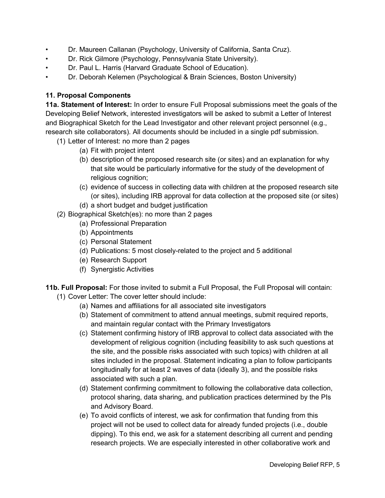- Dr. Maureen Callanan (Psychology, University of California, Santa Cruz).
- Dr. Rick Gilmore (Psychology, Pennsylvania State University).
- Dr. Paul L. Harris (Harvard Graduate School of Education).
- Dr. Deborah Kelemen (Psychological & Brain Sciences, Boston University)

## **11. Proposal Components**

**11a. Statement of Interest:** In order to ensure Full Proposal submissions meet the goals of the Developing Belief Network, interested investigators will be asked to submit a Letter of Interest and Biographical Sketch for the Lead Investigator and other relevant project personnel (e.g., research site collaborators). All documents should be included in a single pdf submission.

- (1) Letter of Interest: no more than 2 pages
	- (a) Fit with project intent
	- (b) description of the proposed research site (or sites) and an explanation for why that site would be particularly informative for the study of the development of religious cognition;
	- (c) evidence of success in collecting data with children at the proposed research site (or sites), including IRB approval for data collection at the proposed site (or sites)
	- (d) a short budget and budget justification
- (2) Biographical Sketch(es): no more than 2 pages
	- (a) Professional Preparation
	- (b) Appointments
	- (c) Personal Statement
	- (d) Publications: 5 most closely-related to the project and 5 additional
	- (e) Research Support
	- (f) Synergistic Activities
- **11b. Full Proposal:** For those invited to submit a Full Proposal, the Full Proposal will contain:
	- (1) Cover Letter: The cover letter should include:
		- (a) Names and affiliations for all associated site investigators
		- (b) Statement of commitment to attend annual meetings, submit required reports, and maintain regular contact with the Primary Investigators
		- (c) Statement confirming history of IRB approval to collect data associated with the development of religious cognition (including feasibility to ask such questions at the site, and the possible risks associated with such topics) with children at all sites included in the proposal. Statement indicating a plan to follow participants longitudinally for at least 2 waves of data (ideally 3), and the possible risks associated with such a plan.
		- (d) Statement confirming commitment to following the collaborative data collection, protocol sharing, data sharing, and publication practices determined by the PIs and Advisory Board.
		- (e) To avoid conflicts of interest, we ask for confirmation that funding from this project will not be used to collect data for already funded projects (i.e., double dipping). To this end, we ask for a statement describing all current and pending research projects. We are especially interested in other collaborative work and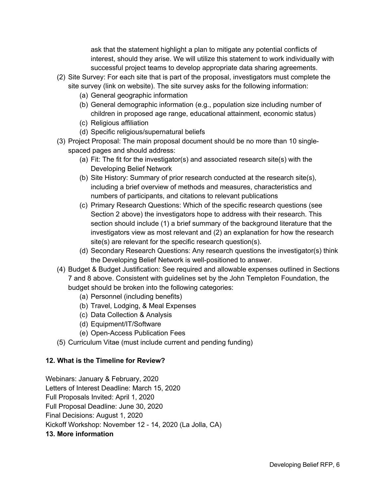ask that the statement highlight a plan to mitigate any potential conflicts of interest, should they arise. We will utilize this statement to work individually with successful project teams to develop appropriate data sharing agreements.

- (2) Site Survey: For each site that is part of the proposal, investigators must complete the site survey (link on website). The site survey asks for the following information:
	- (a) General geographic information
	- (b) General demographic information (e.g., population size including number of children in proposed age range, educational attainment, economic status)
	- (c) Religious affiliation
	- (d) Specific religious/supernatural beliefs
- (3) Project Proposal: The main proposal document should be no more than 10 singlespaced pages and should address:
	- (a) Fit: The fit for the investigator(s) and associated research site(s) with the Developing Belief Network
	- (b) Site History: Summary of prior research conducted at the research site(s), including a brief overview of methods and measures, characteristics and numbers of participants, and citations to relevant publications
	- (c) Primary Research Questions: Which of the specific research questions (see Section 2 above) the investigators hope to address with their research. This section should include (1) a brief summary of the background literature that the investigators view as most relevant and (2) an explanation for how the research site(s) are relevant for the specific research question(s).
	- (d) Secondary Research Questions: Any research questions the investigator(s) think the Developing Belief Network is well-positioned to answer.
- (4) Budget & Budget Justification: See required and allowable expenses outlined in Sections 7 and 8 above. Consistent with guidelines set by the John Templeton Foundation, the budget should be broken into the following categories:
	- (a) Personnel (including benefits)
	- (b) Travel, Lodging, & Meal Expenses
	- (c) Data Collection & Analysis
	- (d) Equipment/IT/Software
	- (e) Open-Access Publication Fees
- (5) Curriculum Vitae (must include current and pending funding)

## **12. What is the Timeline for Review?**

Webinars: January & February, 2020 Letters of Interest Deadline: March 15, 2020 Full Proposals Invited: April 1, 2020 Full Proposal Deadline: June 30, 2020 Final Decisions: August 1, 2020 Kickoff Workshop: November 12 - 14, 2020 (La Jolla, CA) **13. More information**